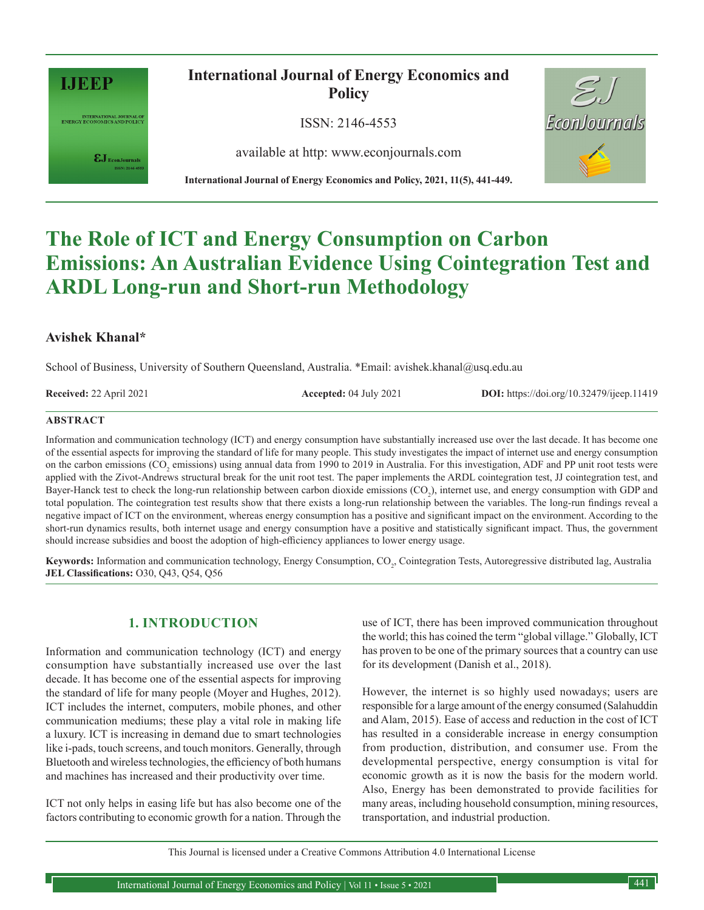

INTERNATIONAL JOURNAL OF<br>ENERGY ECONOMICS AND POLICY

 $\pmb{\varepsilon} \mathbf{J}_{\text{\tiny{EconJournals}}}$ 

**International Journal of Energy Economics and Policy**

ISSN: 2146-4553

available at http: www.econjournals.com

**International Journal of Energy Economics and Policy, 2021, 11(5), 441-449.**



# **The Role of ICT and Energy Consumption on Carbon Emissions: An Australian Evidence Using Cointegration Test and ARDL Long-run and Short-run Methodology**

# **Avishek Khanal\***

School of Business, University of Southern Queensland, Australia. \*Email: avishek.khanal@usq.edu.au

**Received:** 22 April 2021 **Accepted:** 04 July 2021 **DOI:** https://doi.org/10.32479/ijeep.11419

## **ABSTRACT**

Information and communication technology (ICT) and energy consumption have substantially increased use over the last decade. It has become one of the essential aspects for improving the standard of life for many people. This study investigates the impact of internet use and energy consumption on the carbon emissions (CO<sub>2</sub> emissions) using annual data from 1990 to 2019 in Australia. For this investigation, ADF and PP unit root tests were applied with the Zivot-Andrews structural break for the unit root test. The paper implements the ARDL cointegration test, JJ cointegration test, and Bayer-Hanck test to check the long-run relationship between carbon dioxide emissions  $(CO_2)$ , internet use, and energy consumption with GDP and total population. The cointegration test results show that there exists a long-run relationship between the variables. The long-run findings reveal a negative impact of ICT on the environment, whereas energy consumption has a positive and significant impact on the environment. According to the short-run dynamics results, both internet usage and energy consumption have a positive and statistically significant impact. Thus, the government should increase subsidies and boost the adoption of high-efficiency appliances to lower energy usage.

Keywords: Information and communication technology, Energy Consumption, CO<sub>2</sub>, Cointegration Tests, Autoregressive distributed lag, Australia **JEL Classifications:** O30, Q43, Q54, Q56

# **1. INTRODUCTION**

Information and communication technology (ICT) and energy consumption have substantially increased use over the last decade. It has become one of the essential aspects for improving the standard of life for many people (Moyer and Hughes, 2012). ICT includes the internet, computers, mobile phones, and other communication mediums; these play a vital role in making life a luxury. ICT is increasing in demand due to smart technologies like i-pads, touch screens, and touch monitors. Generally, through Bluetooth and wireless technologies, the efficiency of both humans and machines has increased and their productivity over time.

ICT not only helps in easing life but has also become one of the factors contributing to economic growth for a nation. Through the use of ICT, there has been improved communication throughout the world; this has coined the term "global village." Globally, ICT has proven to be one of the primary sources that a country can use for its development (Danish et al., 2018).

However, the internet is so highly used nowadays; users are responsible for a large amount of the energy consumed (Salahuddin and Alam, 2015). Ease of access and reduction in the cost of ICT has resulted in a considerable increase in energy consumption from production, distribution, and consumer use. From the developmental perspective, energy consumption is vital for economic growth as it is now the basis for the modern world. Also, Energy has been demonstrated to provide facilities for many areas, including household consumption, mining resources, transportation, and industrial production.

This Journal is licensed under a Creative Commons Attribution 4.0 International License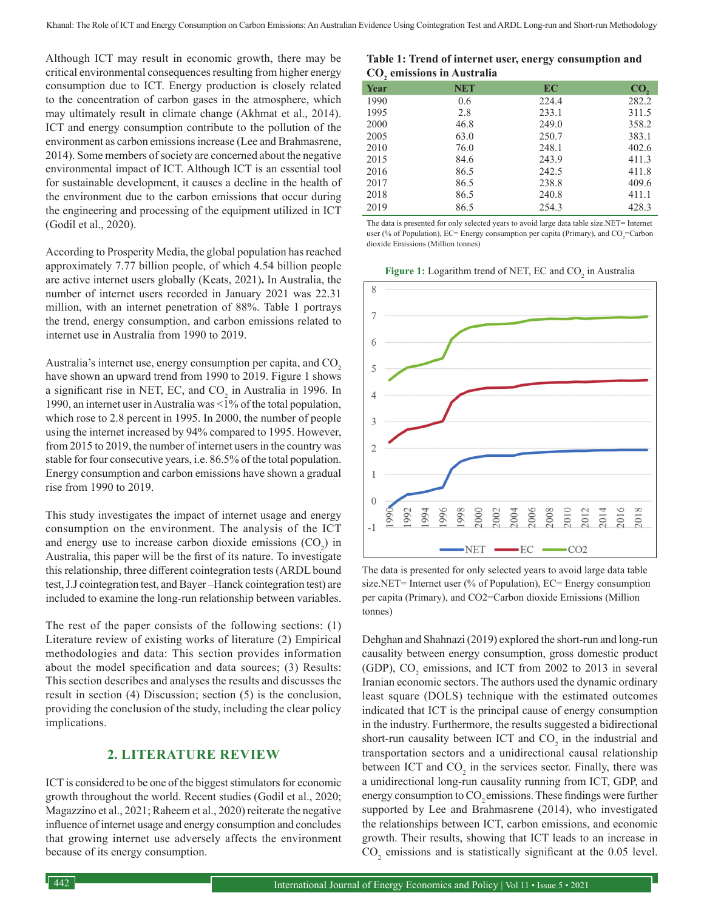Although ICT may result in economic growth, there may be critical environmental consequences resulting from higher energy consumption due to ICT. Energy production is closely related to the concentration of carbon gases in the atmosphere, which may ultimately result in climate change (Akhmat et al., 2014). ICT and energy consumption contribute to the pollution of the environment as carbon emissions increase (Lee and Brahmasrene, 2014). Some members of society are concerned about the negative environmental impact of ICT. Although ICT is an essential tool for sustainable development, it causes a decline in the health of the environment due to the carbon emissions that occur during the engineering and processing of the equipment utilized in ICT (Godil et al., 2020).

According to Prosperity Media, the global population has reached approximately 7.77 billion people, of which 4.54 billion people are active internet users globally (Keats, 2021)**.** In Australia, the number of internet users recorded in January 2021 was 22.31 million, with an internet penetration of 88%. Table 1 portrays the trend, energy consumption, and carbon emissions related to internet use in Australia from 1990 to 2019.

Australia's internet use, energy consumption per capita, and CO<sub>2</sub> have shown an upward trend from 1990 to 2019. Figure 1 shows a significant rise in NET, EC, and  $CO_2$  in Australia in 1996. In 1990, an internet user in Australia was <1% of the total population, which rose to 2.8 percent in 1995. In 2000, the number of people using the internet increased by 94% compared to 1995. However, from 2015 to 2019, the number of internet users in the country was stable for four consecutive years, i.e. 86.5% of the total population. Energy consumption and carbon emissions have shown a gradual rise from 1990 to 2019.

This study investigates the impact of internet usage and energy consumption on the environment. The analysis of the ICT and energy use to increase carbon dioxide emissions  $(CO_2)$  in Australia, this paper will be the first of its nature. To investigate this relationship, three different cointegration tests (ARDL bound test, J.J cointegration test, and Bayer –Hanck cointegration test) are included to examine the long-run relationship between variables.

The rest of the paper consists of the following sections: (1) Literature review of existing works of literature (2) Empirical methodologies and data: This section provides information about the model specification and data sources; (3) Results: This section describes and analyses the results and discusses the result in section (4) Discussion; section (5) is the conclusion, providing the conclusion of the study, including the clear policy implications.

## **2. LITERATURE REVIEW**

ICT is considered to be one of the biggest stimulators for economic growth throughout the world. Recent studies (Godil et al., 2020; Magazzino et al., 2021; Raheem et al., 2020) reiterate the negative influence of internet usage and energy consumption and concludes that growing internet use adversely affects the environment because of its energy consumption.

**Table 1: Trend of internet user, energy consumption and CO2 emissions in Australia Year NET EC CO<sub>2</sub>** 

| нжн  | ועוו | I L C | $\mathbf{U}$ |
|------|------|-------|--------------|
| 1990 | 0.6  | 224.4 | 282.2        |
| 1995 | 2.8  | 233.1 | 311.5        |
| 2000 | 46.8 | 249.0 | 358.2        |
| 2005 | 63.0 | 250.7 | 383.1        |
| 2010 | 76.0 | 248.1 | 402.6        |
| 2015 | 84.6 | 243.9 | 411.3        |
| 2016 | 86.5 | 242.5 | 411.8        |
| 2017 | 86.5 | 238.8 | 409.6        |
| 2018 | 86.5 | 240.8 | 411.1        |
| 2019 | 86.5 | 254.3 | 428.3        |
|      |      |       |              |

The data is presented for only selected years to avoid large data table size.NET= Internet user (% of Population), EC= Energy consumption per capita (Primary), and  $CO_2$ =Carbon dioxide Emissions (Million tonnes)

**Figure 1:** Logarithm trend of NET, EC and CO<sub>2</sub> in Australia



The data is presented for only selected years to avoid large data table size.NET= Internet user (% of Population), EC= Energy consumption per capita (Primary), and CO2=Carbon dioxide Emissions (Million tonnes)

Dehghan and Shahnazi (2019) explored the short-run and long-run causality between energy consumption, gross domestic product (GDP),  $CO_2$  emissions, and ICT from 2002 to 2013 in several Iranian economic sectors. The authors used the dynamic ordinary least square (DOLS) technique with the estimated outcomes indicated that ICT is the principal cause of energy consumption in the industry. Furthermore, the results suggested a bidirectional short-run causality between ICT and  $CO_2$  in the industrial and transportation sectors and a unidirectional causal relationship between ICT and  $CO_2$  in the services sector. Finally, there was a unidirectional long-run causality running from ICT, GDP, and energy consumption to CO<sub>2</sub> emissions. These findings were further supported by Lee and Brahmasrene (2014), who investigated the relationships between ICT, carbon emissions, and economic growth. Their results, showing that ICT leads to an increase in  $CO<sub>2</sub>$  emissions and is statistically significant at the 0.05 level.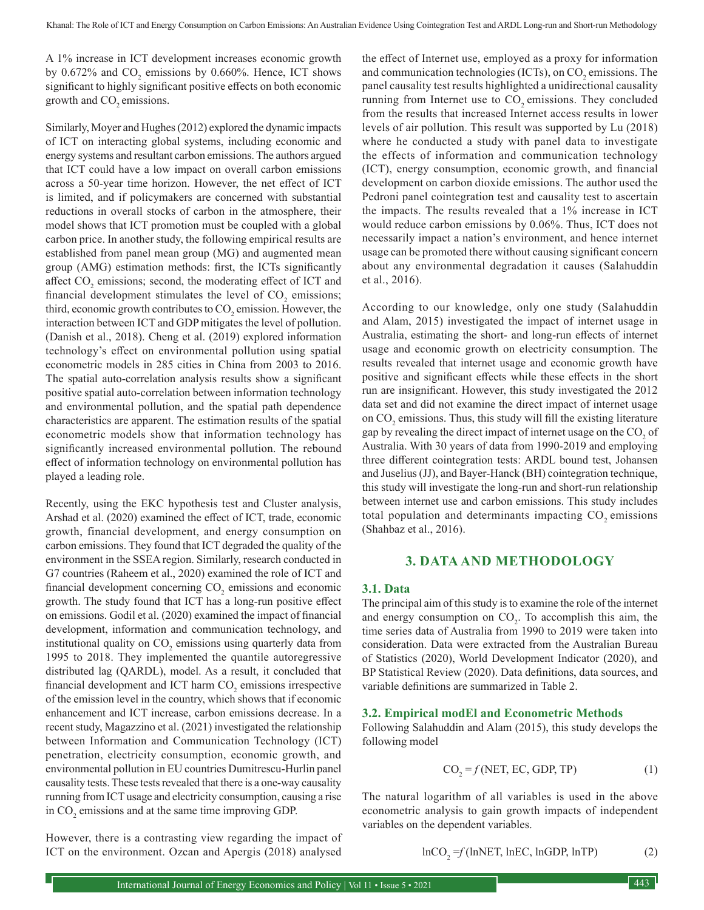A 1% increase in ICT development increases economic growth by 0.672% and  $CO_2$  emissions by 0.660%. Hence, ICT shows significant to highly significant positive effects on both economic growth and CO<sub>2</sub> emissions.

Similarly, Moyer and Hughes (2012) explored the dynamic impacts of ICT on interacting global systems, including economic and energy systems and resultant carbon emissions. The authors argued that ICT could have a low impact on overall carbon emissions across a 50-year time horizon. However, the net effect of ICT is limited, and if policymakers are concerned with substantial reductions in overall stocks of carbon in the atmosphere, their model shows that ICT promotion must be coupled with a global carbon price. In another study, the following empirical results are established from panel mean group (MG) and augmented mean group (AMG) estimation methods: first, the ICTs significantly affect  $CO_2$  emissions; second, the moderating effect of ICT and financial development stimulates the level of  $CO_2$  emissions; third, economic growth contributes to  $\mathrm{CO}_2$  emission. However, the interaction between ICT and GDP mitigates the level of pollution. (Danish et al., 2018). Cheng et al. (2019) explored information technology's effect on environmental pollution using spatial econometric models in 285 cities in China from 2003 to 2016. The spatial auto-correlation analysis results show a significant positive spatial auto-correlation between information technology and environmental pollution, and the spatial path dependence characteristics are apparent. The estimation results of the spatial econometric models show that information technology has significantly increased environmental pollution. The rebound effect of information technology on environmental pollution has played a leading role.

Recently, using the EKC hypothesis test and Cluster analysis, Arshad et al. (2020) examined the effect of ICT, trade, economic growth, financial development, and energy consumption on carbon emissions. They found that ICT degraded the quality of the environment in the SSEA region. Similarly, research conducted in G7 countries (Raheem et al., 2020) examined the role of ICT and financial development concerning  $CO<sub>2</sub>$  emissions and economic growth. The study found that ICT has a long-run positive effect on emissions. Godil et al. (2020) examined the impact of financial development, information and communication technology, and institutional quality on  $CO_2$  emissions using quarterly data from 1995 to 2018. They implemented the quantile autoregressive distributed lag (QARDL), model. As a result, it concluded that financial development and ICT harm  $CO_2$  emissions irrespective of the emission level in the country, which shows that if economic enhancement and ICT increase, carbon emissions decrease. In a recent study, Magazzino et al. (2021) investigated the relationship between Information and Communication Technology (ICT) penetration, electricity consumption, economic growth, and environmental pollution in EU countries Dumitrescu-Hurlin panel causality tests. These tests revealed that there is a one-way causality running from ICT usage and electricity consumption, causing a rise in  $CO_2$  emissions and at the same time improving GDP.

the effect of Internet use, employed as a proxy for information and communication technologies (ICTs), on  $CO_2$  emissions. The panel causality test results highlighted a unidirectional causality running from Internet use to  $CO$ , emissions. They concluded from the results that increased Internet access results in lower levels of air pollution. This result was supported by Lu (2018) where he conducted a study with panel data to investigate the effects of information and communication technology (ICT), energy consumption, economic growth, and financial development on carbon dioxide emissions. The author used the Pedroni panel cointegration test and causality test to ascertain the impacts. The results revealed that a 1% increase in ICT would reduce carbon emissions by 0.06%. Thus, ICT does not necessarily impact a nation's environment, and hence internet usage can be promoted there without causing significant concern about any environmental degradation it causes (Salahuddin et al., 2016).

According to our knowledge, only one study (Salahuddin and Alam, 2015) investigated the impact of internet usage in Australia, estimating the short- and long-run effects of internet usage and economic growth on electricity consumption. The results revealed that internet usage and economic growth have positive and significant effects while these effects in the short run are insignificant. However, this study investigated the 2012 data set and did not examine the direct impact of internet usage on  $CO_2$  emissions. Thus, this study will fill the existing literature gap by revealing the direct impact of internet usage on the  $\mathrm{CO}_2$  of Australia. With 30 years of data from 1990-2019 and employing three different cointegration tests: ARDL bound test, Johansen and Juselius (JJ), and Bayer-Hanck (BH) cointegration technique, this study will investigate the long-run and short-run relationship between internet use and carbon emissions. This study includes total population and determinants impacting  $CO<sub>2</sub>$  emissions (Shahbaz et al., 2016).

#### **3. DATA AND METHODOLOGY**

#### **3.1. Data**

The principal aim of this study is to examine the role of the internet and energy consumption on  $CO<sub>2</sub>$ . To accomplish this aim, the time series data of Australia from 1990 to 2019 were taken into consideration. Data were extracted from the Australian Bureau of Statistics (2020), World Development Indicator (2020), and BP Statistical Review (2020). Data definitions, data sources, and variable definitions are summarized in Table 2.

#### **3.2. Empirical modEl and Econometric Methods**

Following Salahuddin and Alam (2015), this study develops the following model

$$
CO_2 = f(NET, EC, GDP, TP)
$$
 (1)

The natural logarithm of all variables is used in the above econometric analysis to gain growth impacts of independent variables on the dependent variables.

$$
ln CO2 = f(lnNET, lnEC, lnGDP, lnTP)
$$
 (2)

However, there is a contrasting view regarding the impact of ICT on the environment. Ozcan and Apergis (2018) analysed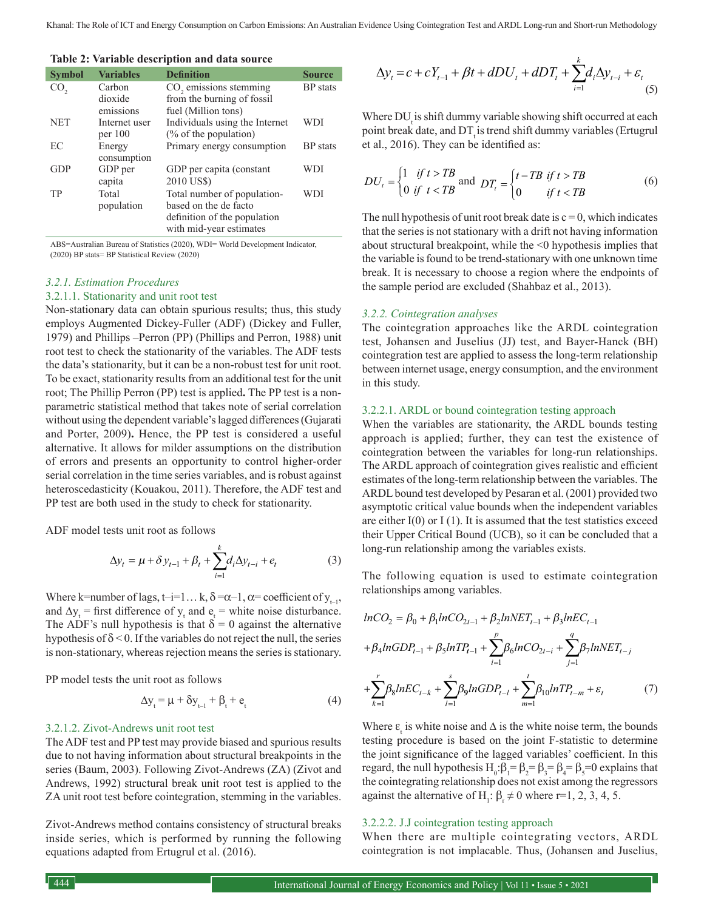**Table 2: Variable description and data source**

| <b>Symbol</b>   | <b>Variables</b> | <b>Definition</b>                  | <b>Source</b>   |
|-----------------|------------------|------------------------------------|-----------------|
| CO <sub>2</sub> | Carbon           | CO <sub>2</sub> emissions stemming | <b>BP</b> stats |
|                 | dioxide          | from the burning of fossil         |                 |
|                 | emissions        | fuel (Million tons)                |                 |
| <b>NET</b>      | Internet user    | Individuals using the Internet     | WDI             |
|                 | per 100          | $\frac{6}{6}$ of the population)   |                 |
| EC              | Energy           | Primary energy consumption         | <b>BP</b> stats |
|                 | consumption      |                                    |                 |
| GDP             | GDP per          | GDP per capita (constant           | WDI             |
|                 | capita           | 2010 US\$)                         |                 |
| TP              | Total            | Total number of population-        | WDI             |
|                 | population       | based on the de facto              |                 |
|                 |                  | definition of the population       |                 |
|                 |                  | with mid-year estimates            |                 |

ABS=Australian Bureau of Statistics (2020), WDI= World Development Indicator, (2020) BP stats= BP Statistical Review (2020)

## *3.2.1. Estimation Procedures*

## 3.2.1.1. Stationarity and unit root test

Non-stationary data can obtain spurious results; thus, this study employs Augmented Dickey-Fuller (ADF) (Dickey and Fuller, 1979) and Phillips –Perron (PP) (Phillips and Perron, 1988) unit root test to check the stationarity of the variables. The ADF tests the data's stationarity, but it can be a non-robust test for unit root. To be exact, stationarity results from an additional test for the unit root; The Phillip Perron (PP) test is applied**.** The PP test is a nonparametric statistical method that takes note of serial correlation without using the dependent variable's lagged differences (Gujarati and Porter, 2009)**.** Hence, the PP test is considered a useful alternative. It allows for milder assumptions on the distribution of errors and presents an opportunity to control higher-order serial correlation in the time series variables, and is robust against heteroscedasticity (Kouakou, 2011). Therefore, the ADF test and PP test are both used in the study to check for stationarity.

ADF model tests unit root as follows

$$
\Delta y_t = \mu + \delta y_{t-1} + \beta_t + \sum_{i=1}^k d_i \Delta y_{t-i} + e_t
$$
 (3)

Where k=number of lags, t–i=1... k,  $\delta = \alpha - 1$ ,  $\alpha =$  coefficient of  $y_{t-1}$ , and  $\Delta y_t$  = first difference of  $y_t$  and  $e_t$  = white noise disturbance. The ADF's null hypothesis is that  $\delta = 0$  against the alternative hypothesis of  $\delta$  < 0. If the variables do not reject the null, the series is non-stationary, whereas rejection means the series is stationary.

PP model tests the unit root as follows

$$
\Delta y_t = \mu + \delta y_{t-1} + \beta_t + e_t \tag{4}
$$

#### 3.2.1.2. Zivot-Andrews unit root test

The ADF test and PP test may provide biased and spurious results due to not having information about structural breakpoints in the series (Baum, 2003). Following Zivot-Andrews (ZA) (Zivot and Andrews, 1992) structural break unit root test is applied to the ZA unit root test before cointegration, stemming in the variables.

Zivot-Andrews method contains consistency of structural breaks inside series, which is performed by running the following equations adapted from Ertugrul et al. (2016).

$$
\Delta y_t = c + cY_{t-1} + \beta t + dDU_t + dDT_t + \sum_{i=1}^k d_i \Delta y_{t-i} + \varepsilon_t
$$
\n(5)

Where DU is shift dummy variable showing shift occurred at each point break date, and DT<sub>t</sub> is trend shift dummy variables (Ertugrul et al., 2016). They can be identified as:

$$
DU_{t} = \begin{cases} 1 & \text{if } t > TB \\ 0 & \text{if } t < TB \end{cases} \text{ and } DT_{t} = \begin{cases} t - TB & \text{if } t > TB \\ 0 & \text{if } t < TB \end{cases}
$$
 (6)

The null hypothesis of unit root break date is  $c = 0$ , which indicates that the series is not stationary with a drift not having information about structural breakpoint, while the <0 hypothesis implies that the variable is found to be trend-stationary with one unknown time break. It is necessary to choose a region where the endpoints of the sample period are excluded (Shahbaz et al., 2013).

#### *3.2.2. Cointegration analyses*

The cointegration approaches like the ARDL cointegration test, Johansen and Juselius (JJ) test, and Bayer-Hanck (BH) cointegration test are applied to assess the long-term relationship between internet usage, energy consumption, and the environment in this study.

#### 3.2.2.1. ARDL or bound cointegration testing approach

When the variables are stationarity, the ARDL bounds testing approach is applied; further, they can test the existence of cointegration between the variables for long-run relationships. The ARDL approach of cointegration gives realistic and efficient estimates of the long-term relationship between the variables. The ARDL bound test developed by Pesaran et al. (2001) provided two asymptotic critical value bounds when the independent variables are either  $I(0)$  or  $I(1)$ . It is assumed that the test statistics exceed their Upper Critical Bound (UCB), so it can be concluded that a long-run relationship among the variables exists.

The following equation is used to estimate cointegration relationships among variables.

$$
ln CO_{2} = \beta_{0} + \beta_{1}ln CO_{2t-1} + \beta_{2}lnNET_{t-1} + \beta_{3}lnEC_{t-1}
$$
  
+  $\beta_{4}lnGDP_{t-1} + \beta_{5}lnTP_{t-1} + \sum_{i=1}^{p} \beta_{6}lnCO_{2t-i} + \sum_{j=1}^{q} \beta_{7}lnNET_{t-j}$   
+  $\sum_{k=1}^{r} \beta_{8}lnEC_{t-k} + \sum_{l=1}^{s} \beta_{9}lnGDP_{t-l} + \sum_{m=1}^{t} \beta_{10}lnTP_{t-m} + \varepsilon_{t}$  (7)

Where  $\varepsilon_t$  is white noise and  $\Delta$  is the white noise term, the bounds testing procedure is based on the joint F-statistic to determine the joint significance of the lagged variables' coefficient. In this regard, the null hypothesis  $H_0: \beta_1 = \beta_2 = \beta_3 = \beta_4 = \beta_5 = 0$  explains that the cointegrating relationship does not exist among the regressors against the alternative of  $H_1: \beta_r \neq 0$  where r=1, 2, 3, 4, 5.

#### 3.2.2.2. J.J cointegration testing approach

When there are multiple cointegrating vectors, ARDL cointegration is not implacable. Thus, (Johansen and Juselius,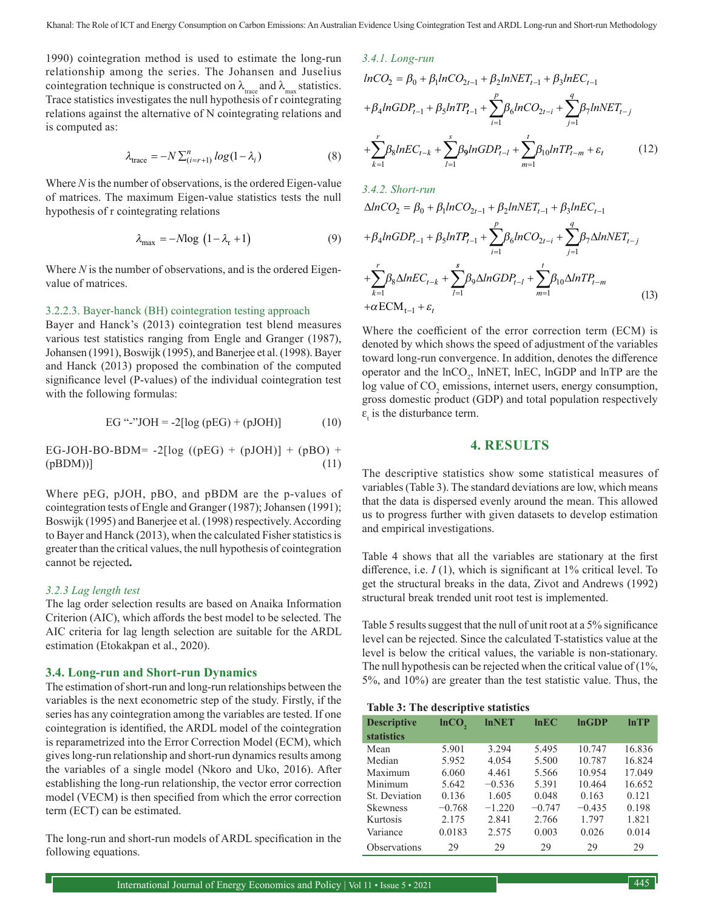1990) cointegration method is used to estimate the long-run relationship among the series. The Johansen and Juselius cointegration technique is constructed on  $\lambda_{\text{tree}}$  and  $\lambda_{\text{max}}$  statistics. Trace statistics investigates the null hypothesis of r cointegrating relations against the alternative of N cointegrating relations and is computed as:

$$
\lambda_{\text{trace}} = -N \sum_{(i=r+1)}^{n} \log(1 - \lambda_i)
$$
 (8)

Where *N* is the number of observations, is the ordered Eigen-value of matrices. The maximum Eigen-value statistics tests the null hypothesis of r cointegrating relations

$$
\lambda_{\text{max}} = -M \text{log} \left( 1 - \lambda_{\text{r}} + 1 \right) \tag{9}
$$

Where *N* is the number of observations, and is the ordered Eigenvalue of matrices.

#### 3.2.2.3. Bayer-hanck (BH) cointegration testing approach

Bayer and Hanck's (2013) cointegration test blend measures various test statistics ranging from Engle and Granger (1987), Johansen (1991), Boswijk (1995), and Banerjee et al. (1998). Bayer and Hanck (2013) proposed the combination of the computed significance level (P-values) of the individual cointegration test with the following formulas:

EG "-''JOH = 
$$
-2[log (pEG) + (pJOH)]
$$
 (10)

EG-JOH-BO-BDM= 
$$
-2
$$
[log ((pEG) + (pJOH)] + (pBO) +  
(pBDM))] (11)

Where pEG, pJOH, pBO, and pBDM are the p-values of cointegration tests of Engle and Granger (1987); Johansen (1991); Boswijk (1995) and Banerjee et al. (1998) respectively. According to Bayer and Hanck (2013), when the calculated Fisher statistics is greater than the critical values, the null hypothesis of cointegration cannot be rejected**.**

## *3.2.3 Lag length test*

The lag order selection results are based on Anaika Information Criterion (AIC), which affords the best model to be selected. The AIC criteria for lag length selection are suitable for the ARDL estimation (Etokakpan et al., 2020).

#### **3.4. Long-run and Short-run Dynamics**

The estimation of short-run and long-run relationships between the variables is the next econometric step of the study. Firstly, if the series has any cointegration among the variables are tested. If one cointegration is identified, the ARDL model of the cointegration is reparametrized into the Error Correction Model (ECM), which gives long-run relationship and short-run dynamics results among the variables of a single model (Nkoro and Uko, 2016). After establishing the long-run relationship, the vector error correction model (VECM) is then specified from which the error correction term (ECT) can be estimated.

The long-run and short-run models of ARDL specification in the following equations.

3.4.1. Long-run  
\n
$$
lnCO_{2} = \beta_{0} + \beta_{1}lnCO_{2t-1} + \beta_{2}lnNET_{t-1} + \beta_{3}lnEC_{t-1}
$$
\n
$$
+ \beta_{4}lnGDP_{t-1} + \beta_{5}lnTP_{t-1} + \sum_{i=1}^{p} \beta_{6}lnCO_{2t-i} + \sum_{j=1}^{q} \beta_{7}lnNET_{t-j}
$$
\n
$$
+ \sum_{k=1}^{r} \beta_{8}lnEC_{t-k} + \sum_{l=1}^{s} \beta_{9}lnGDP_{t-l} + \sum_{m=1}^{t} \beta_{10}lnTP_{t-m} + \varepsilon_{t}
$$
\n(12)

3.4.2. Short-run  
\n
$$
\Delta ln CO_{2} = \beta_{0} + \beta_{1}ln CO_{2t-1} + \beta_{2}lnNET_{t-1} + \beta_{3}lnEC_{t-1}
$$
\n
$$
+ \beta_{4}lnGDP_{t-1} + \beta_{5}lnTP_{t-1} + \sum_{i=1}^{p} \beta_{6}lnCO_{2t-i} + \sum_{j=1}^{q} \beta_{7}\Delta lnNET_{t-j}
$$
\n
$$
+ \sum_{k=1}^{r} \beta_{8}\Delta lnEC_{t-k} + \sum_{l=1}^{s} \beta_{9}\Delta lnGDP_{t-l} + \sum_{m=1}^{t} \beta_{10}\Delta lnTP_{t-m}
$$
\n(13)

Where the coefficient of the error correction term (ECM) is denoted by which shows the speed of adjustment of the variables toward long-run convergence. In addition, denotes the difference operator and the  $ln CO_2$ , lnNET, lnEC, lnGDP and lnTP are the log value of  $CO_2$  emissions, internet users, energy consumption, gross domestic product (GDP) and total population respectively  $\varepsilon$ <sub>t</sub> is the disturbance term.

## **4. RESULTS**

The descriptive statistics show some statistical measures of variables (Table 3). The standard deviations are low, which means that the data is dispersed evenly around the mean. This allowed us to progress further with given datasets to develop estimation and empirical investigations.

Table 4 shows that all the variables are stationary at the first difference, i.e. *I* (1), which is significant at 1% critical level. To get the structural breaks in the data, Zivot and Andrews (1992) structural break trended unit root test is implemented.

Table 5 results suggest that the null of unit root at a 5% significance level can be rejected. Since the calculated T-statistics value at the level is below the critical values, the variable is non-stationary. The null hypothesis can be rejected when the critical value of (1%, 5%, and 10%) are greater than the test statistic value. Thus, the

## **Table 3: The descriptive statistics**

| <b>Descriptive</b> | $lnCO$ , | <b>InNET</b> | lnEC     | lnGDP    | lnTP   |
|--------------------|----------|--------------|----------|----------|--------|
| <b>statistics</b>  |          |              |          |          |        |
| Mean               | 5.901    | 3.294        | 5.495    | 10.747   | 16.836 |
| Median             | 5.952    | 4.054        | 5.500    | 10.787   | 16.824 |
| Maximum            | 6.060    | 4.461        | 5.566    | 10.954   | 17.049 |
| Minimum            | 5.642    | $-0.536$     | 5.391    | 10.464   | 16.652 |
| St. Deviation      | 0.136    | 1.605        | 0.048    | 0.163    | 0.121  |
| <b>Skewness</b>    | $-0.768$ | $-1.220$     | $-0.747$ | $-0.435$ | 0.198  |
| Kurtosis           | 2.175    | 2.841        | 2.766    | 1.797    | 1.821  |
| Variance           | 0.0183   | 2.575        | 0.003    | 0.026    | 0.014  |
| Observations       | 29       | 29           | 29       | 29       | 29     |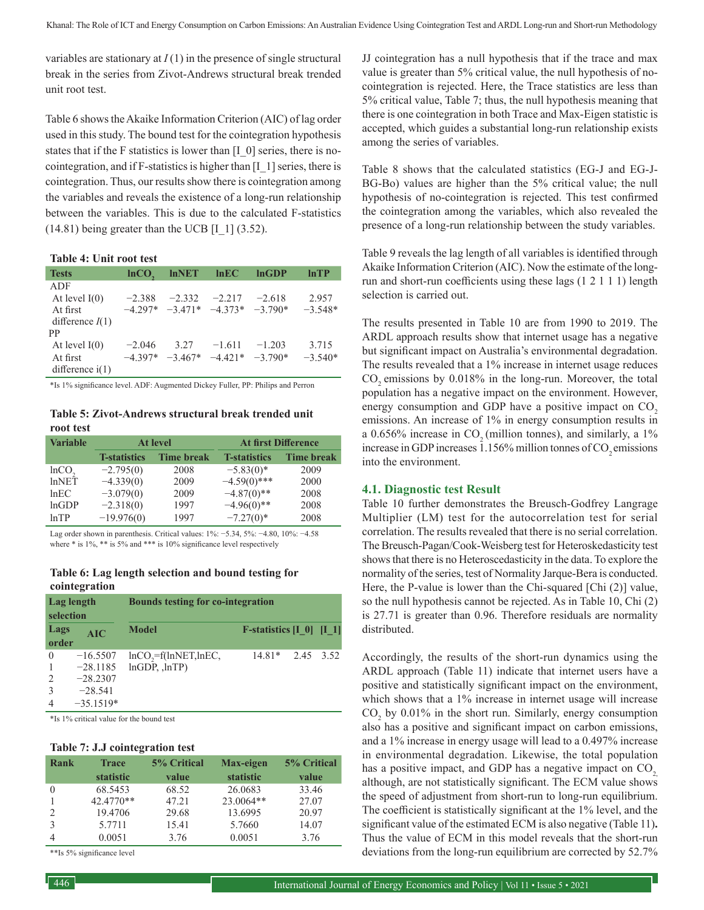variables are stationary at  $I(1)$  in the presence of single structural break in the series from Zivot-Andrews structural break trended unit root test.

Table 6 shows the Akaike Information Criterion (AIC) of lag order used in this study. The bound test for the cointegration hypothesis states that if the F statistics is lower than [I\_0] series, there is nocointegration, and if F-statistics is higher than [I\_1] series, there is cointegration. Thus, our results show there is cointegration among the variables and reveals the existence of a long-run relationship between the variables. This is due to the calculated F-statistics  $(14.81)$  being greater than the UCB [I  $1$ ]  $(3.52)$ .

## **Table 4: Unit root test**

| <b>Tests</b>                                                  | lnCO <sub>2</sub>     | <b>InNET</b> | lnEC                                                | lnGDP    | lnTP               |
|---------------------------------------------------------------|-----------------------|--------------|-----------------------------------------------------|----------|--------------------|
| ADF<br>At level $I(0)$<br>At first<br>difference $I(1)$<br>PP | $-2.388$              | $-2.332$     | $-2.217$<br>$-4.297*$ $-3.471*$ $-4.373*$ $-3.790*$ | $-2.618$ | 2.957<br>$-3.548*$ |
| At level $I(0)$<br>At first<br>difference $i(1)$              | $-2.046$<br>$-4.397*$ | 3.27         | $-1.611$<br>$-3.467*$ $-4.421*$ $-3.790*$           | $-1.203$ | 3.715<br>$-3.540*$ |

\*Is 1% significance level. ADF: Augmented Dickey Fuller, PP: Philips and Perron

**Table 5: Zivot-Andrews structural break trended unit root test**

| <b>Variable</b> | <b>At level</b>      |                   | <b>At first Difference</b> |                   |
|-----------------|----------------------|-------------------|----------------------------|-------------------|
|                 | <b>T</b> -statistics | <b>Time break</b> | <b>T</b> -statistics       | <b>Time break</b> |
| $lnCO$ ,        | $-2.795(0)$          | 2008              | $-5.83(0)$ *               | 2009              |
| lnNET           | $-4.339(0)$          | 2009              | $-4.59(0)$ ***             | 2000              |
| lnEC            | $-3.079(0)$          | 2009              | $-4.87(0)$ **              | 2008              |
| lnGDP           | $-2.318(0)$          | 1997              | $-4.96(0)$ **              | 2008              |
| lnTP            | $-19.976(0)$         | 1997              | $-7.27(0)$ *               | 2008              |

Lag order shown in parenthesis. Critical values: 1%: −5.34, 5%: −4.80, 10%: −4.58 where  $*$  is 1%,  $**$  is 5% and  $***$  is 10% significance level respectively

#### **Table 6: Lag length selection and bound testing for cointegration**

| Lag length<br>selection |             | <b>Bounds testing for co-integration</b>   |                                         |           |  |
|-------------------------|-------------|--------------------------------------------|-----------------------------------------|-----------|--|
| Lags<br>order           | AIC         | <b>Model</b>                               | <b>F-statistics</b> $[I \ 0] \ [I \ 1]$ |           |  |
| $\theta$                | $-16.5507$  | $lnCO$ <sub>7</sub> =f( $lnNET$ , $lnEC$ , | $14.81*$                                | 2.45 3.52 |  |
| $\mathbf{1}$            | $-28.1185$  | $lnGDP$ , $lnTP$ )                         |                                         |           |  |
| 2                       | $-28.2307$  |                                            |                                         |           |  |
| 3                       | $-28.541$   |                                            |                                         |           |  |
| $\overline{4}$          | $-35.1519*$ |                                            |                                         |           |  |

\*Is 1% critical value for the bound test

#### **Table 7: J.J cointegration test**

| Rank          | <b>Trace</b> | <b>5% Critical</b> | Max-eigen | 5% Critical |
|---------------|--------------|--------------------|-----------|-------------|
|               | statistic    | value              | statistic | value       |
| $\Omega$      | 68.5453      | 68.52              | 26.0683   | 33.46       |
|               | 42.4770**    | 47.21              | 23.0064** | 27.07       |
| $\mathcal{L}$ | 19.4706      | 29.68              | 13.6995   | 20.97       |
| 3             | 5.7711       | 15.41              | 5.7660    | 14.07       |
|               | 0.0051       | 3.76               | 0.0051    | 3.76        |

\*\*Is 5% significance level

JJ cointegration has a null hypothesis that if the trace and max value is greater than 5% critical value, the null hypothesis of nocointegration is rejected. Here, the Trace statistics are less than 5% critical value, Table 7; thus, the null hypothesis meaning that there is one cointegration in both Trace and Max-Eigen statistic is accepted, which guides a substantial long-run relationship exists among the series of variables.

Table 8 shows that the calculated statistics (EG-J and EG-J-BG-Bo) values are higher than the 5% critical value; the null hypothesis of no-cointegration is rejected. This test confirmed the cointegration among the variables, which also revealed the presence of a long-run relationship between the study variables.

Table 9 reveals the lag length of all variables is identified through Akaike Information Criterion (AIC). Now the estimate of the longrun and short-run coefficients using these lags (1 2 1 1 1) length selection is carried out.

The results presented in Table 10 are from 1990 to 2019. The ARDL approach results show that internet usage has a negative but significant impact on Australia's environmental degradation. The results revealed that a 1% increase in internet usage reduces CO<sub>2</sub> emissions by 0.018% in the long-run. Moreover, the total population has a negative impact on the environment. However, energy consumption and GDP have a positive impact on  $CO<sub>2</sub>$ emissions. An increase of 1% in energy consumption results in a  $0.656\%$  increase in CO<sub>2</sub> (million tonnes), and similarly, a 1% increase in GDP increases 1.156% million tonnes of CO<sub>2</sub> emissions into the environment.

#### **4.1. Diagnostic test Result**

Table 10 further demonstrates the Breusch-Godfrey Langrage Multiplier (LM) test for the autocorrelation test for serial correlation. The results revealed that there is no serial correlation. The Breusch-Pagan/Cook-Weisberg test for Heteroskedasticity test shows that there is no Heteroscedasticity in the data. To explore the normality of the series, test of Normality Jarque-Bera is conducted. Here, the P-value is lower than the Chi-squared [Chi (2)] value, so the null hypothesis cannot be rejected. As in Table 10, Chi (2) is 27.71 is greater than 0.96. Therefore residuals are normality distributed.

Accordingly, the results of the short-run dynamics using the ARDL approach (Table 11) indicate that internet users have a positive and statistically significant impact on the environment, which shows that a 1% increase in internet usage will increase  $CO<sub>2</sub>$  by 0.01% in the short run. Similarly, energy consumption also has a positive and significant impact on carbon emissions, and a 1% increase in energy usage will lead to a 0.497% increase in environmental degradation. Likewise, the total population has a positive impact, and GDP has a negative impact on CO<sub>2</sub>, although, are not statistically significant. The ECM value shows the speed of adjustment from short-run to long-run equilibrium. The coefficient is statistically significant at the 1% level, and the significant value of the estimated ECM is also negative (Table 11)**.**  Thus the value of ECM in this model reveals that the short-run deviations from the long-run equilibrium are corrected by 52.7%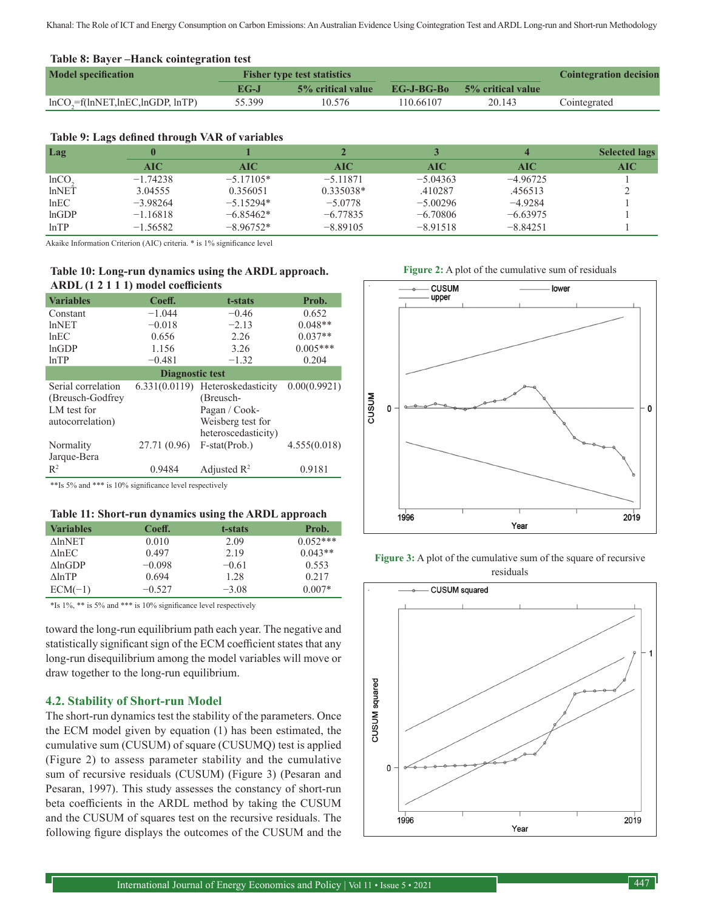Khanal: The Role of ICT and Energy Consumption on Carbon Emissions: An Australian Evidence Using Cointegration Test and ARDL Long-run and Short-run Methodology

#### **Table 8: Bayer –Hanck cointegration test**

| <b>Model specification</b>                           | <b>Fisher type test statistics</b> |                    |            |                   | <b>Cointegration decision</b> |
|------------------------------------------------------|------------------------------------|--------------------|------------|-------------------|-------------------------------|
|                                                      | $EG-I$                             | 5\% critical value | EG-J-BG-Bo | 5% critical value |                               |
| $ln CO$ <sub>2</sub> = $f(lnNET, lnEC, lnGDP, lnTP)$ | 55.399                             | 10.576             | 110.66107  | 20.143            | Cointegrated                  |

## **Table 9: Lags defined through VAR of variables**

| Lag      | $\cdot$<br>$\sim$ |             |             |            |            | <b>Selected lags</b> |
|----------|-------------------|-------------|-------------|------------|------------|----------------------|
|          | AIC               | AIC         | AIC.        | AIC        | <b>AIC</b> | AIC                  |
| $lnCO$ , | $-1.74238$        | $-5.17105*$ | $-5.11871$  | $-5.04363$ | $-4.96725$ |                      |
| lnNET    | 3.04555           | 0.356051    | $0.335038*$ | .410287    | .456513    |                      |
| lnEC     | $-3.98264$        | $-5.15294*$ | $-5.0778$   | $-5.00296$ | $-4.9284$  |                      |
| lnGDP    | $-1.16818$        | $-6.85462*$ | $-6.77835$  | $-6.70806$ | $-6.63975$ |                      |
| lnTP     | $-1.56582$        | $-8.96752*$ | $-8.89105$  | $-8.91518$ | $-8.84251$ |                      |

Akaike Information Criterion (AIC) criteria. \* is 1% significance level

## **Table 10: Long-run dynamics using the ARDL approach. ARDL (1 2 1 1 1) model coefficients**

| <b>Variables</b>                                                           | Coeff.       | t-stats                                                                                                    | Prob.        |  |  |
|----------------------------------------------------------------------------|--------------|------------------------------------------------------------------------------------------------------------|--------------|--|--|
| Constant                                                                   | $-1.044$     | $-0.46$                                                                                                    | 0.652        |  |  |
| lnNET                                                                      | $-0.018$     | $-2.13$                                                                                                    | $0.048**$    |  |  |
| lnEC                                                                       | 0.656        | 2.26                                                                                                       | $0.037**$    |  |  |
| lnGDP                                                                      | 1.156        | 3.26                                                                                                       | $0.005***$   |  |  |
| lnTP                                                                       | $-0.481$     | $-1.32$                                                                                                    | 0.204        |  |  |
| Diagnostic test                                                            |              |                                                                                                            |              |  |  |
| Serial correlation<br>(Breusch-Godfrey)<br>LM test for<br>autocorrelation) |              | 6.331(0.0119) Heteroskedasticity<br>(Breusch-<br>Pagan / Cook-<br>Weisberg test for<br>heteroscedasticity) | 0.00(0.9921) |  |  |
| Normality<br>Jarque-Bera                                                   | 27.71 (0.96) | F-stat(Prob.)                                                                                              | 4.555(0.018) |  |  |
| $R^2$                                                                      | 0.9484       | Adjusted $R^2$                                                                                             | 0.9181       |  |  |

\*\*Is 5% and \*\*\* is 10% significance level respectively

#### **Table 11: Short-run dynamics using the ARDL approach**

| <b>Variables</b>    | Coeff.   | t-stats | Prob.      |
|---------------------|----------|---------|------------|
| <b>AlnNET</b>       | 0.010    | 2.09    | $0.052***$ |
| $\triangle$ ln $EC$ | 0.497    | 2.19    | $0.043**$  |
| $\Lambda$ lnGDP     | $-0.098$ | $-0.61$ | 0.553      |
| $\Lambda$ ln $TP$   | 0.694    | 1.28    | 0.217      |
| $ECM(-1)$           | $-0.527$ | $-3.08$ | $0.007*$   |

\*Is 1%, \*\* is 5% and \*\*\* is 10% significance level respectively

toward the long-run equilibrium path each year. The negative and statistically significant sign of the ECM coefficient states that any long-run disequilibrium among the model variables will move or draw together to the long-run equilibrium.

## **4.2. Stability of Short-run Model**

The short-run dynamics test the stability of the parameters. Once the ECM model given by equation (1) has been estimated, the cumulative sum (CUSUM) of square (CUSUMQ) test is applied (Figure 2) to assess parameter stability and the cumulative sum of recursive residuals (CUSUM) (Figure 3) (Pesaran and Pesaran, 1997). This study assesses the constancy of short-run beta coefficients in the ARDL method by taking the CUSUM and the CUSUM of squares test on the recursive residuals. The following figure displays the outcomes of the CUSUM and the

**Figure 2:** A plot of the cumulative sum of residuals



**Figure 3:** A plot of the cumulative sum of the square of recursive residuals

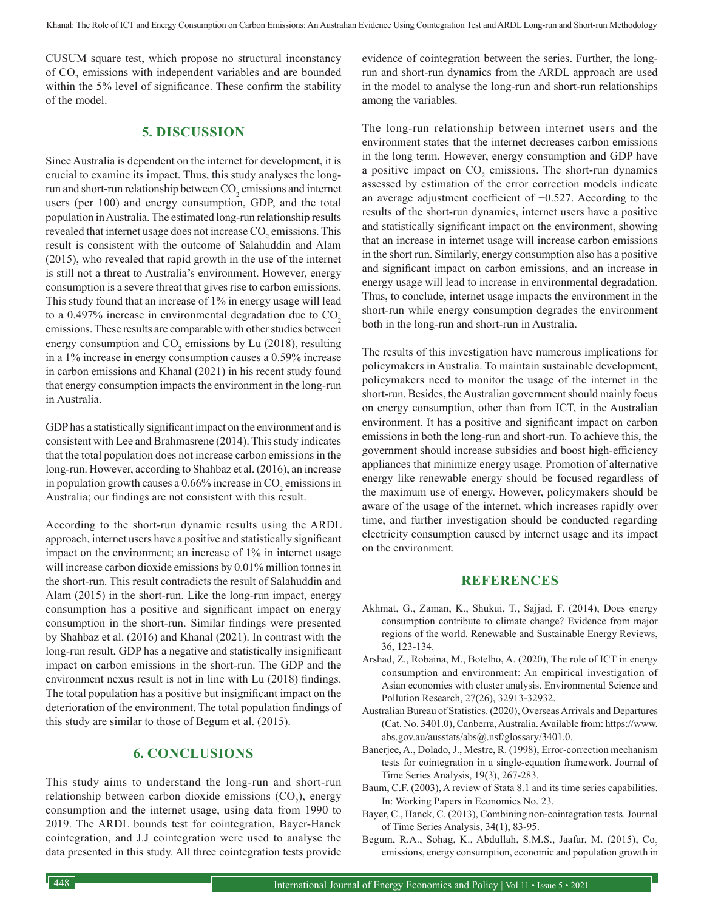CUSUM square test, which propose no structural inconstancy of  $CO<sub>2</sub>$  emissions with independent variables and are bounded within the 5% level of significance. These confirm the stability of the model.

# **5. DISCUSSION**

Since Australia is dependent on the internet for development, it is crucial to examine its impact. Thus, this study analyses the longrun and short-run relationship between  $\mathrm{CO}_2$  emissions and internet users (per 100) and energy consumption, GDP, and the total population in Australia. The estimated long-run relationship results revealed that internet usage does not increase  $\mathrm{CO}_2$  emissions. This result is consistent with the outcome of Salahuddin and Alam (2015), who revealed that rapid growth in the use of the internet is still not a threat to Australia's environment. However, energy consumption is a severe threat that gives rise to carbon emissions. This study found that an increase of 1% in energy usage will lead to a  $0.497\%$  increase in environmental degradation due to CO<sub>2</sub> emissions. These results are comparable with other studies between energy consumption and  $CO_2$  emissions by Lu (2018), resulting in a 1% increase in energy consumption causes a 0.59% increase in carbon emissions and Khanal (2021) in his recent study found that energy consumption impacts the environment in the long-run in Australia.

GDP has a statistically significant impact on the environment and is consistent with Lee and Brahmasrene (2014). This study indicates that the total population does not increase carbon emissions in the long-run. However, according to Shahbaz et al. (2016), an increase in population growth causes a 0.66% increase in  $\mathrm{CO}_2$  emissions in Australia; our findings are not consistent with this result.

According to the short-run dynamic results using the ARDL approach, internet users have a positive and statistically significant impact on the environment; an increase of 1% in internet usage will increase carbon dioxide emissions by 0.01% million tonnes in the short-run. This result contradicts the result of Salahuddin and Alam (2015) in the short-run. Like the long-run impact, energy consumption has a positive and significant impact on energy consumption in the short-run. Similar findings were presented by Shahbaz et al. (2016) and Khanal (2021). In contrast with the long-run result, GDP has a negative and statistically insignificant impact on carbon emissions in the short-run. The GDP and the environment nexus result is not in line with Lu (2018) findings. The total population has a positive but insignificant impact on the deterioration of the environment. The total population findings of this study are similar to those of Begum et al. (2015).

# **6. CONCLUSIONS**

This study aims to understand the long-run and short-run relationship between carbon dioxide emissions (CO<sub>2</sub>), energy consumption and the internet usage, using data from 1990 to 2019. The ARDL bounds test for cointegration, Bayer-Hanck cointegration, and J.J cointegration were used to analyse the data presented in this study. All three cointegration tests provide

evidence of cointegration between the series. Further, the longrun and short-run dynamics from the ARDL approach are used in the model to analyse the long-run and short-run relationships among the variables.

The long-run relationship between internet users and the environment states that the internet decreases carbon emissions in the long term. However, energy consumption and GDP have a positive impact on  $CO_2$  emissions. The short-run dynamics assessed by estimation of the error correction models indicate an average adjustment coefficient of −0.527. According to the results of the short-run dynamics, internet users have a positive and statistically significant impact on the environment, showing that an increase in internet usage will increase carbon emissions in the short run. Similarly, energy consumption also has a positive and significant impact on carbon emissions, and an increase in energy usage will lead to increase in environmental degradation. Thus, to conclude, internet usage impacts the environment in the short-run while energy consumption degrades the environment both in the long-run and short-run in Australia.

The results of this investigation have numerous implications for policymakers in Australia. To maintain sustainable development, policymakers need to monitor the usage of the internet in the short-run. Besides, the Australian government should mainly focus on energy consumption, other than from ICT, in the Australian environment. It has a positive and significant impact on carbon emissions in both the long-run and short-run. To achieve this, the government should increase subsidies and boost high-efficiency appliances that minimize energy usage. Promotion of alternative energy like renewable energy should be focused regardless of the maximum use of energy. However, policymakers should be aware of the usage of the internet, which increases rapidly over time, and further investigation should be conducted regarding electricity consumption caused by internet usage and its impact on the environment.

# **REFERENCES**

- Akhmat, G., Zaman, K., Shukui, T., Sajjad, F. (2014), Does energy consumption contribute to climate change? Evidence from major regions of the world. Renewable and Sustainable Energy Reviews, 36, 123-134.
- Arshad, Z., Robaina, M., Botelho, A. (2020), The role of ICT in energy consumption and environment: An empirical investigation of Asian economies with cluster analysis. Environmental Science and Pollution Research, 27(26), 32913-32932.
- Australian Bureau of Statistics. (2020), Overseas Arrivals and Departures (Cat. No. 3401.0), Canberra, Australia. Available from: https://www. abs.gov.au/ausstats/abs@.nsf/glossary/3401.0.
- Banerjee, A., Dolado, J., Mestre, R. (1998), Error‐correction mechanism tests for cointegration in a single‐equation framework. Journal of Time Series Analysis, 19(3), 267-283.
- Baum, C.F. (2003), A review of Stata 8.1 and its time series capabilities. In: Working Papers in Economics No. 23.
- Bayer, C., Hanck, C. (2013), Combining non‐cointegration tests. Journal of Time Series Analysis, 34(1), 83-95.
- Begum, R.A., Sohag, K., Abdullah, S.M.S., Jaafar, M. (2015), Co<sub>2</sub> emissions, energy consumption, economic and population growth in